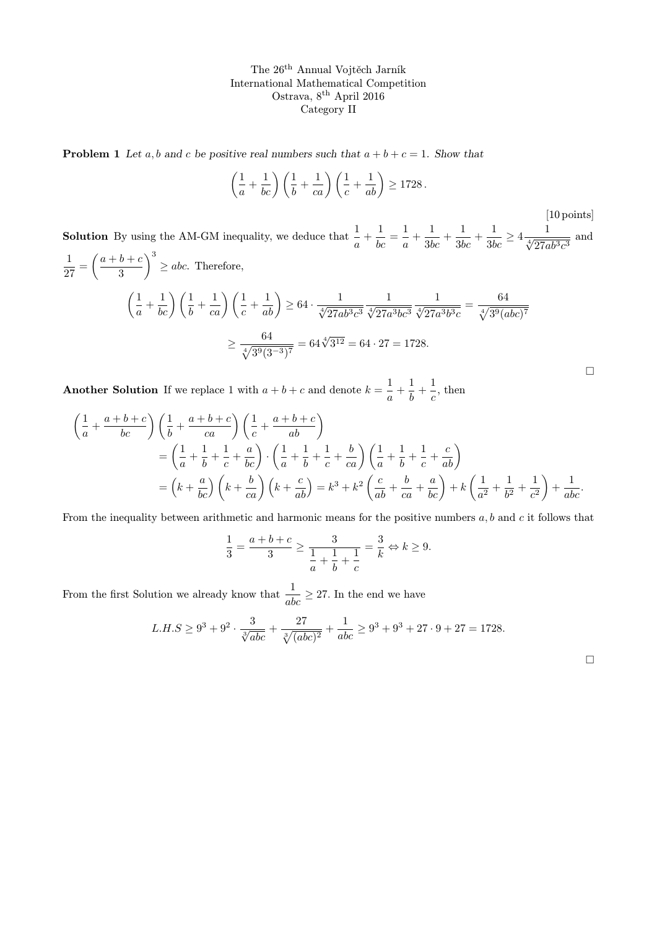**Problem 1** Let a, b and c be positive real numbers such that  $a + b + c = 1$ . Show that

$$
\left(\frac{1}{a} + \frac{1}{bc}\right)\left(\frac{1}{b} + \frac{1}{ca}\right)\left(\frac{1}{c} + \frac{1}{ab}\right) \ge 1728.
$$
\n<sup>[10 points]</sup>

**Solution** By using the AM-GM inequality, we deduce that  $\frac{1}{a} + \frac{1}{bc} = \frac{1}{a}$  $\frac{1}{a} + \frac{1}{3bc} + \frac{1}{3bc} + \frac{1}{3bc} \ge 4 \frac{1}{\sqrt[4]{27ab^3c^3}}$  and 1  $\frac{1}{27} = \left(\frac{a+b+c}{3}\right)$ 3  $\bigg\}^3 \ge abc.$  Therefore,  $\sqrt{1}$  $\left(\frac{1}{a} + \frac{1}{bc}\right)\left(\frac{1}{b} + \frac{1}{ca}\right)\left(\frac{1}{c} + \frac{1}{ab}\right) \ge 64 \cdot \frac{1}{\sqrt[4]{27ab^3c^3}}$  $\frac{1}{\sqrt[4]{27a^3bc^3}}$  $\frac{1}{\sqrt[4]{27a^3b^3c}} = \frac{64}{\sqrt[4]{3^9(a)}}$  $\sqrt[4]{3^9(abc)^7}$ 

$$
\geq \frac{64}{\sqrt[4]{3^9(3^{-3})^7}} = 64\sqrt[4]{3^{12}} = 64 \cdot 27 = 1728.
$$

Another Solution If we replace 1 with  $a+b+c$  and denote  $k=\frac{1}{2}$  $\frac{1}{a} + \frac{1}{b}$  $\frac{1}{b} + \frac{1}{c}$  $\frac{1}{c}$ , then

$$
\begin{split}\n&\left(\frac{1}{a} + \frac{a+b+c}{bc}\right)\left(\frac{1}{b} + \frac{a+b+c}{ca}\right)\left(\frac{1}{c} + \frac{a+b+c}{ab}\right) \\
&= \left(\frac{1}{a} + \frac{1}{b} + \frac{1}{c} + \frac{a}{bc}\right) \cdot \left(\frac{1}{a} + \frac{1}{b} + \frac{1}{c} + \frac{b}{ca}\right)\left(\frac{1}{a} + \frac{1}{b} + \frac{1}{c} + \frac{c}{ab}\right) \\
&= \left(k + \frac{a}{bc}\right)\left(k + \frac{b}{ca}\right)\left(k + \frac{c}{ab}\right) = k^3 + k^2 \left(\frac{c}{ab} + \frac{b}{ca} + \frac{a}{bc}\right) + k\left(\frac{1}{a^2} + \frac{1}{b^2} + \frac{1}{c^2}\right) + \frac{1}{abc}.\n\end{split}
$$

From the inequality between arithmetic and harmonic means for the positive numbers  $a, b$  and c it follows that

$$
\frac{1}{3} = \frac{a+b+c}{3} \ge \frac{3}{\frac{1}{a} + \frac{1}{b} + \frac{1}{c}} = \frac{3}{k} \Leftrightarrow k \ge 9.
$$

From the first Solution we already know that  $\frac{1}{abc} \geq 27$ . In the end we have

$$
L.H.S \geq 9^3 + 9^2 \cdot \frac{3}{\sqrt[3]{abc}} + \frac{27}{\sqrt[3]{(abc)^2}} + \frac{1}{abc} \geq 9^3 + 9^3 + 27 \cdot 9 + 27 = 1728.
$$

 $\Box$ 

 $\Box$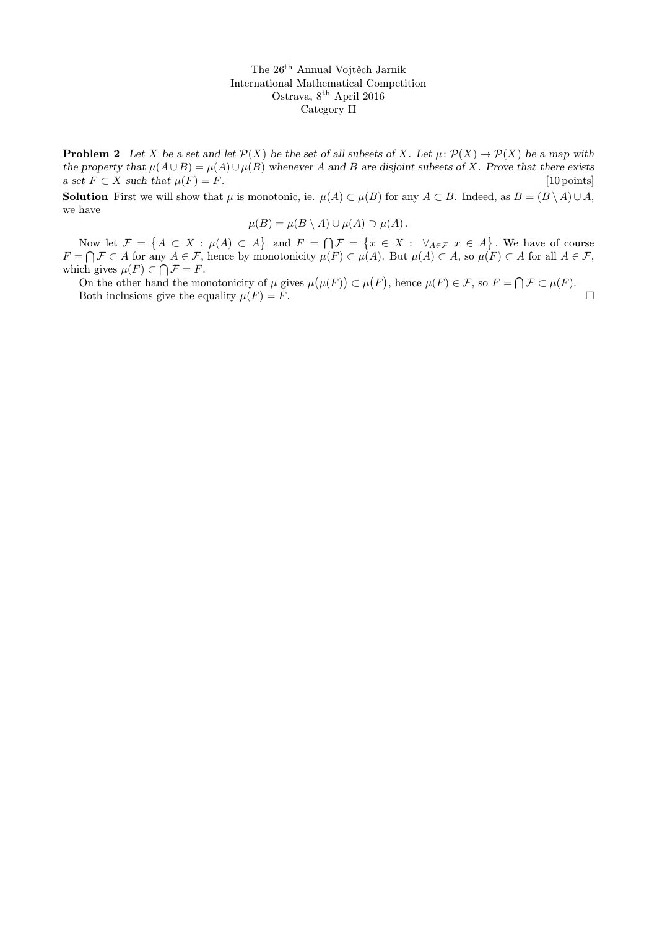**Problem 2** Let X be a set and let  $\mathcal{P}(X)$  be the set of all subsets of X. Let  $\mu: \mathcal{P}(X) \to \mathcal{P}(X)$  be a map with the property that  $\mu(A \cup B) = \mu(A) \cup \mu(B)$  whenever A and B are disjoint subsets of X. Prove that there exists a set  $F \subset X$  such that  $\mu(F) = F$ . [10 points]

**Solution** First we will show that  $\mu$  is monotonic, ie.  $\mu(A) \subset \mu(B)$  for any  $A \subset B$ . Indeed, as  $B = (B \setminus A) \cup A$ , we have

$$
\mu(B) = \mu(B \setminus A) \cup \mu(A) \supset \mu(A).
$$

Now let  $\mathcal{F} = \{A \subset X : \mu(A) \subset A\}$  and  $F = \bigcap \mathcal{F} = \{x \in X : \forall_{A \in \mathcal{F}} x \in A\}$ . We have of course  $F = \bigcap \mathcal{F} \subset A$  for any  $A \in \mathcal{F}$ , hence by monotonicity  $\mu(F) \subset \mu(A)$ . But  $\mu(A) \subset A$ , so  $\mu(F) \subset A$  for all  $A \in \mathcal{F}$ , which gives  $\mu(F) \subset \bigcap \mathcal{F} = F$ .

On the other hand the monotonicity of  $\mu$  gives  $\mu(\mu(F)) \subset \mu(F)$ , hence  $\mu(F) \in \mathcal{F}$ , so  $F = \bigcap \mathcal{F} \subset \mu(F)$ . Both inclusions give the equality  $\mu(F) = F$ .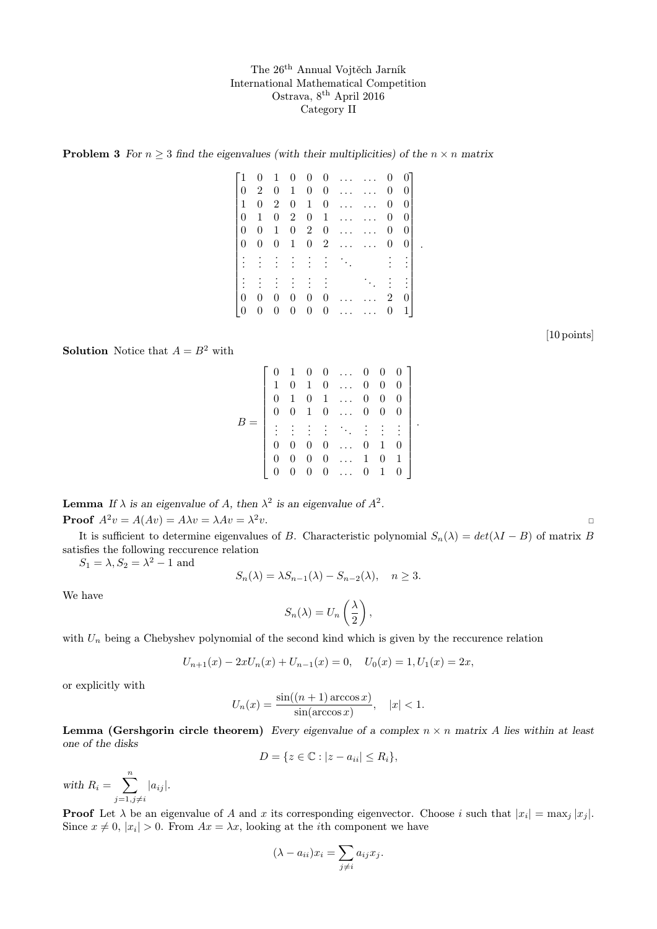**Problem 3** For  $n \geq 3$  find the eigenvalues (with their multiplicities) of the  $n \times n$  matrix

| Г1              | $\overline{0}$   | 1                | $\overline{0}$   | $\begin{array}{c} 0 \end{array}$ |                | $0 \ldots$               | 0                | 01             |
|-----------------|------------------|------------------|------------------|----------------------------------|----------------|--------------------------|------------------|----------------|
| $\theta$        | $\overline{2}$   | $\boldsymbol{0}$ | $\mathbf{1}$     | $\overline{0}$                   |                | $0 \ldots$               | $\overline{0}$   | $\overline{0}$ |
| $\mathbf{1}$    | $\boldsymbol{0}$ | $\overline{2}$   | $\boldsymbol{0}$ | $\mathbf{1}$                     | $\overline{0}$ | $\cdots$                 | $\overline{0}$   | $\overline{0}$ |
| $\overline{0}$  | $\mathbf{1}$     | $\boldsymbol{0}$ | $2^{-}$          | $\overline{0}$                   | 1              | $\cdots$                 | 0                | $\overline{0}$ |
| $\overline{0}$  | $\overline{0}$   | $\mathbf{1}$     | $\overline{0}$   | 2                                | $\overline{0}$ |                          | 0                | 0              |
| $\theta$        | $\boldsymbol{0}$ | $\boldsymbol{0}$ | $\mathbf 1$      |                                  |                | $0 \quad 2 \quad \ldots$ | $\boldsymbol{0}$ | 0 <sup>1</sup> |
| $\frac{1}{4}$   | $\frac{1}{2}$    |                  |                  |                                  |                |                          |                  |                |
|                 |                  |                  |                  |                                  |                |                          |                  |                |
|                 |                  |                  |                  |                                  |                |                          |                  | $\therefore$   |
|                 |                  |                  |                  |                                  |                |                          |                  |                |
| 0               | $\theta$         | 0                | 0                | 0                                | $\overline{0}$ |                          | 2                | 0 <sup>1</sup> |
| $\vert 0 \vert$ | $\boldsymbol{0}$ | $\overline{0}$   | $\boldsymbol{0}$ | $\boldsymbol{0}$                 |                | $0 \ldots$               | $\boldsymbol{0}$ | $1\vert$       |

.

[10 points]

**Solution** Notice that  $A = B^2$  with

|  |                |              |                |           | $0\quad 1\quad 0\quad 0\quad \ldots$ | 0              | $\overline{0}$ | $\hspace{0.1em} 0$ |  |
|--|----------------|--------------|----------------|-----------|--------------------------------------|----------------|----------------|--------------------|--|
|  | 1              | 0            | $\mathbf{1}$   |           | $0 \ldots$                           | $\overline{0}$ | $\theta$       | 0                  |  |
|  | 0              | $\mathbf{1}$ |                | $0\quad1$ | $\dddotsc$                           | 0              | 0              | 0                  |  |
|  | $\overline{0}$ | 0            | $\mathbf{1}$   |           | $0 \ldots$                           | $\overline{0}$ | 0              | 0                  |  |
|  |                |              |                |           | 1115.111                             |                |                |                    |  |
|  | 0              | 0            | $\theta$       | 0         |                                      | 0              | 1              | 0                  |  |
|  | 0              | 0            | $\overline{0}$ |           | $0 \ldots$                           | $\mathbf{1}$   | $\theta$       | -1                 |  |
|  |                | 0            | $\theta$       |           | $0 \ldots$                           | 0              | 1              |                    |  |

**Lemma** If  $\lambda$  is an eigenvalue of A, then  $\lambda^2$  is an eigenvalue of  $A^2$ . **Proof**  $A^2v = A(Av) = A\lambda v = \lambda Av = \lambda^2 v$ .  $2v.$ 

It is sufficient to determine eigenvalues of B. Characteristic polynomial  $S_n(\lambda) = det(\lambda I - B)$  of matrix B satisfies the following reccurence relation

 $S_1 = \lambda, S_2 = \lambda^2 - 1$  and

$$
S_n(\lambda) = \lambda S_{n-1}(\lambda) - S_{n-2}(\lambda), \quad n \ge 3.
$$

We have

$$
S_n(\lambda) = U_n\left(\frac{\lambda}{2}\right),\,
$$

with  $U_n$  being a Chebyshev polynomial of the second kind which is given by the reccurence relation

$$
U_{n+1}(x) - 2xU_n(x) + U_{n-1}(x) = 0, \quad U_0(x) = 1, U_1(x) = 2x,
$$

or explicitly with

$$
U_n(x) = \frac{\sin((n+1)\arccos x)}{\sin(\arccos x)}, \quad |x| < 1.
$$

**Lemma (Gershgorin circle theorem)** Every eigenvalue of a complex  $n \times n$  matrix A lies within at least one of the disks

$$
D = \{ z \in \mathbb{C} : |z - a_{ii}| \le R_i \},\
$$

with  $R_i = \sum_{i=1}^{n}$  $j=1,j\neq i$  $|a_{ij}|.$ 

**Proof** Let  $\lambda$  be an eigenvalue of A and x its corresponding eigenvector. Choose i such that  $|x_i| = \max_j |x_j|$ . Since  $x \neq 0$ ,  $|x_i| > 0$ . From  $Ax = \lambda x$ , looking at the *i*th component we have

$$
(\lambda - a_{ii})x_i = \sum_{j \neq i} a_{ij} x_j.
$$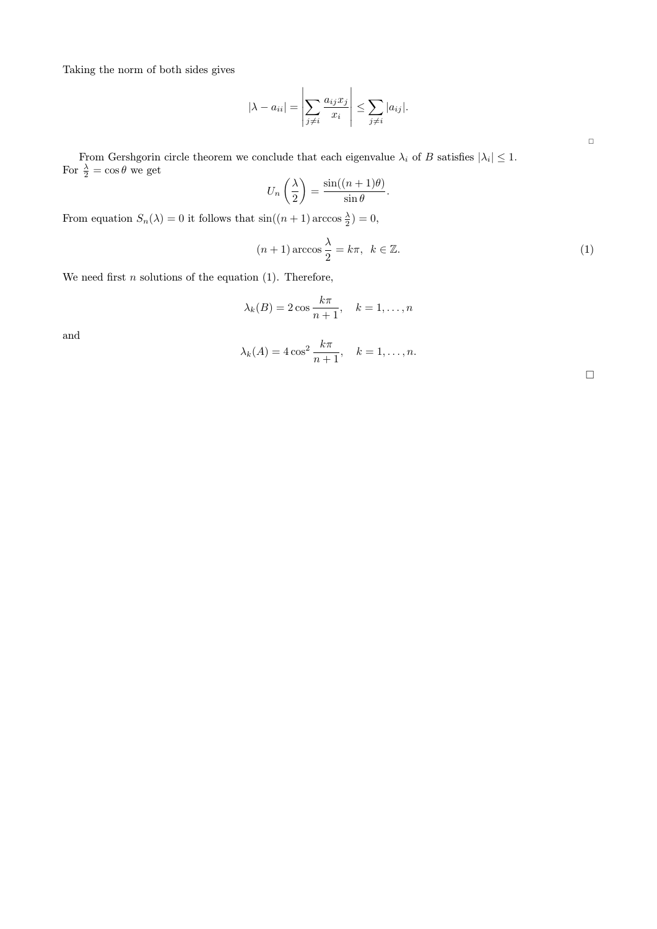Taking the norm of both sides gives

$$
|\lambda - a_{ii}| = \left| \sum_{j \neq i} \frac{a_{ij} x_j}{x_i} \right| \leq \sum_{j \neq i} |a_{ij}|.
$$

From Gershgorin circle theorem we conclude that each eigenvalue  $\lambda_i$  of B satisfies  $|\lambda_i| \leq 1$ . For  $\frac{\lambda}{2} = \cos \theta$  we get

$$
U_n\left(\frac{\lambda}{2}\right) = \frac{\sin((n+1)\theta)}{\sin\theta}.
$$

From equation  $S_n(\lambda) = 0$  it follows that  $\sin((n+1)\arccos \frac{\lambda}{2}) = 0$ ,

$$
(n+1)\arccos\frac{\lambda}{2} = k\pi, \ \ k \in \mathbb{Z}.\tag{1}
$$

We need first  $n$  solutions of the equation (1). Therefore,

$$
\lambda_k(B) = 2\cos\frac{k\pi}{n+1}, \quad k = 1,\dots, n
$$

and

$$
\lambda_k(A) = 4\cos^2\frac{k\pi}{n+1}, \quad k = 1,\dots, n.
$$

 $\Box$ 

 $\Box$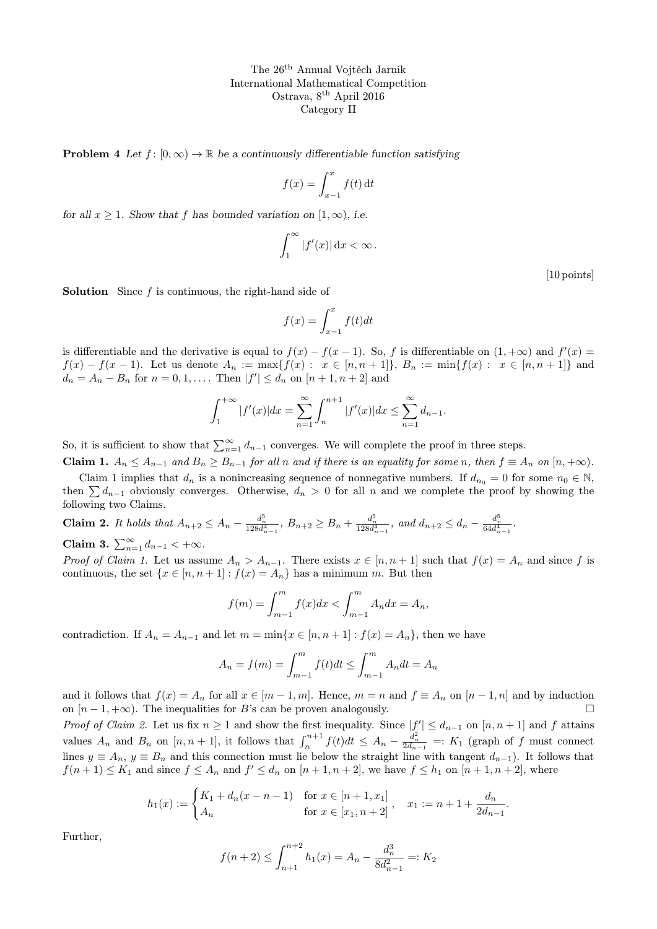**Problem 4** Let  $f : [0, \infty) \to \mathbb{R}$  be a continuously differentiable function satisfying

$$
f(x) = \int_{x-1}^{x} f(t) dt
$$

for all  $x \geq 1$ . Show that f has bounded variation on  $[1, \infty)$ , i.e.

$$
\int_1^\infty |f'(x)| \,\mathrm{d}x < \infty \,.
$$

[10 points]

**Solution** Since  $f$  is continuous, the right-hand side of

$$
f(x) = \int_{x-1}^{x} f(t)dt
$$

is differentiable and the derivative is equal to  $f(x) - f(x-1)$ . So, f is differentiable on  $(1, +\infty)$  and  $f'(x) =$  $f(x) - f(x-1)$ . Let us denote  $A_n := \max\{f(x) : x \in [n, n+1]\}$ ,  $B_n := \min\{f(x) : x \in [n, n+1]\}$  and  $d_n = A_n - B_n$  for  $n = 0, 1, ...$  Then  $|f'| \leq d_n$  on  $[n + 1, n + 2]$  and

$$
\int_{1}^{+\infty} |f'(x)| dx = \sum_{n=1}^{\infty} \int_{n}^{n+1} |f'(x)| dx \le \sum_{n=1}^{\infty} d_{n-1}.
$$

So, it is sufficient to show that  $\sum_{n=1}^{\infty} d_{n-1}$  converges. We will complete the proof in three steps.

**Claim 1.**  $A_n \leq A_{n-1}$  and  $B_n \geq B_{n-1}$  for all n and if there is an equality for some n, then  $f \equiv A_n$  on  $[n, +\infty)$ .

Claim 1 implies that  $d_n$  is a nonincreasing sequence of nonnegative numbers. If  $d_{n_0} = 0$  for some  $n_0 \in \mathbb{N}$ , then  $\sum d_{n-1}$  obviously converges. Otherwise,  $d_n > 0$  for all n and we complete the proof by showing the following two Claims.

**Claim 2.** It holds that 
$$
A_{n+2} \leq A_n - \frac{d_n^5}{128d_{n-1}^4}
$$
,  $B_{n+2} \geq B_n + \frac{d_n^5}{128d_{n-1}^4}$ , and  $d_{n+2} \leq d_n - \frac{d_n^5}{64d_{n-1}^4}$ .

Claim 3.  $\sum_{n=1}^{\infty} d_{n-1} < +\infty$ .

*Proof of Claim 1.* Let us assume  $A_n > A_{n-1}$ . There exists  $x \in [n, n+1]$  such that  $f(x) = A_n$  and since f is continuous, the set  $\{x \in [n, n+1] : f(x) = A_n\}$  has a minimum m. But then

$$
f(m) = \int_{m-1}^{m} f(x)dx < \int_{m-1}^{m} A_n dx = A_n,
$$

contradiction. If  $A_n = A_{n-1}$  and let  $m = \min\{x \in [n, n+1] : f(x) = A_n\}$ , then we have

$$
A_n = f(m) = \int_{m-1}^{m} f(t)dt \le \int_{m-1}^{m} A_n dt = A_n
$$

and it follows that  $f(x) = A_n$  for all  $x \in [m-1,m]$ . Hence,  $m = n$  and  $f \equiv A_n$  on  $[n-1,n]$  and by induction on  $[n-1, +\infty)$ . The inequalities for B's can be proven analogously.

*Proof of Claim 2.* Let us fix  $n \geq 1$  and show the first inequality. Since  $|f'| \leq d_{n-1}$  on  $[n, n+1]$  and f attains values  $A_n$  and  $B_n$  on  $[n, n+1]$ , it follows that  $\int_n^{n+1} f(t)dt \leq A_n - \frac{d_n^2}{2d_{n-1}} =: K_1$  (graph of f must connect lines  $y \equiv A_n$ ,  $y \equiv B_n$  and this connection must lie below the straight line with tangent  $d_{n-1}$ ). It follows that  $f(n+1) \leq K_1$  and since  $f \leq A_n$  and  $f' \leq d_n$  on  $[n+1, n+2]$ , we have  $f \leq h_1$  on  $[n+1, n+2]$ , where

$$
h_1(x) := \begin{cases} K_1 + d_n(x - n - 1) & \text{for } x \in [n+1, x_1] \\ A_n & \text{for } x \in [x_1, n+2] \end{cases}, \quad x_1 := n + 1 + \frac{d_n}{2d_{n-1}}.
$$

Further,

$$
f(n+2) \le \int_{n+1}^{n+2} h_1(x) = A_n - \frac{d_n^3}{8d_{n-1}^2} =: K_2
$$